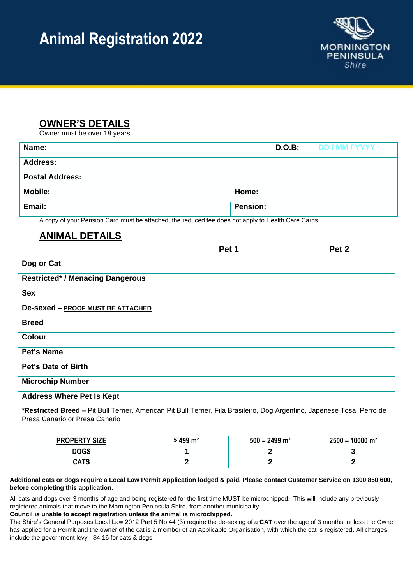# **Animal Registration 2022**



# **OWNER'S DETAILS**

Owner must be over 18 years

| Name:                  |                 | D.O.B: | DD / MM / YYYY |
|------------------------|-----------------|--------|----------------|
| <b>Address:</b>        |                 |        |                |
| <b>Postal Address:</b> |                 |        |                |
| <b>Mobile:</b>         | Home:           |        |                |
| Email:                 | <b>Pension:</b> |        |                |

A copy of your Pension Card must be attached, the reduced fee does not apply to Health Care Cards.

## **ANIMAL DETAILS**

|                                                                                                                                                            | Pet 1 | Pet 2 |
|------------------------------------------------------------------------------------------------------------------------------------------------------------|-------|-------|
| Dog or Cat                                                                                                                                                 |       |       |
| <b>Restricted* / Menacing Dangerous</b>                                                                                                                    |       |       |
| <b>Sex</b>                                                                                                                                                 |       |       |
| De-sexed - PROOF MUST BE ATTACHED                                                                                                                          |       |       |
| <b>Breed</b>                                                                                                                                               |       |       |
| <b>Colour</b>                                                                                                                                              |       |       |
| Pet's Name                                                                                                                                                 |       |       |
| Pet's Date of Birth                                                                                                                                        |       |       |
| <b>Microchip Number</b>                                                                                                                                    |       |       |
| <b>Address Where Pet Is Kept</b>                                                                                                                           |       |       |
| *Restricted Breed - Pit Bull Terrier, American Pit Bull Terrier, Fila Brasileiro, Dog Argentino, Japenese Tosa, Perro de<br>Presa Canario or Presa Canario |       |       |

| <b>PROPERTY SIZE</b> | 499 $m2$ | $500 - 2499$ m <sup>2</sup> | $2500 - 10000$ m <sup>2</sup> |
|----------------------|----------|-----------------------------|-------------------------------|
| <b>DOGS</b>          |          |                             |                               |
| <b>CATS</b>          |          |                             |                               |

#### **Additional cats or dogs require a Local Law Permit Application lodged & paid. Please contact Customer Service on 1300 850 600, before completing this application**.

All cats and dogs over 3 months of age and being registered for the first time MUST be microchipped. This will include any previously registered animals that move to the Mornington Peninsula Shire, from another municipality.

**Council is unable to accept registration unless the animal is microchipped.**

The Shire's General Purposes Local Law 2012 Part 5 No 44 (3) require the de-sexing of a **CAT** over the age of 3 months, unless the Owner has applied for a Permit and the owner of the cat is a member of an Applicable Organisation, with which the cat is registered. All charges include the government levy - \$4.16 for cats & dogs